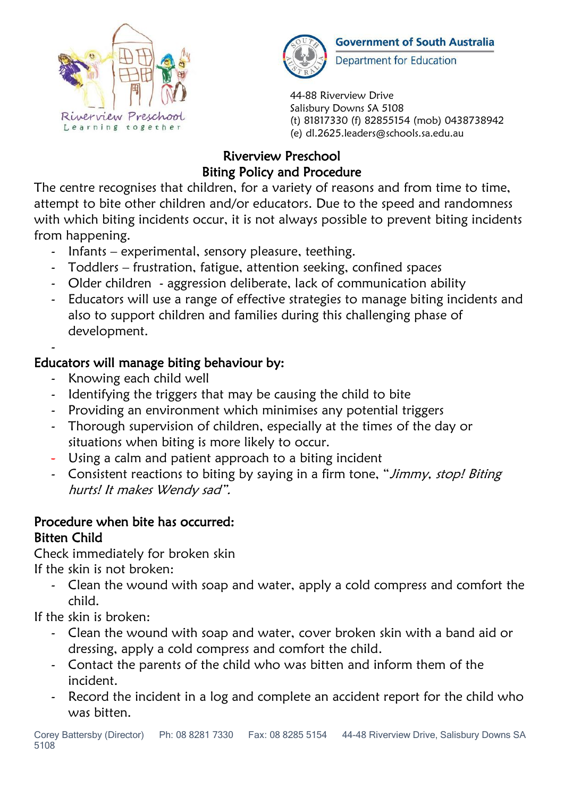



**Government of South Australia Department for Education** 

44-88 Riverview Drive Salisbury Downs SA 5108 (t) 81817330 (f) 82855154 (mob) 0438738942 (e) dl.2625.leaders@schools.sa.edu.au

# Riverview Preschool Biting Policy and Procedure

The centre recognises that children, for a variety of reasons and from time to time, attempt to bite other children and/or educators. Due to the speed and randomness with which biting incidents occur, it is not always possible to prevent biting incidents from happening.

- Infants experimental, sensory pleasure, teething.
- Toddlers frustration, fatigue, attention seeking, confined spaces
- Older children aggression deliberate, lack of communication ability
- Educators will use a range of effective strategies to manage biting incidents and also to support children and families during this challenging phase of development.

#### - Educators will manage biting behaviour by:

- Knowing each child well
- Identifying the triggers that may be causing the child to bite
- Providing an environment which minimises any potential triggers
- Thorough supervision of children, especially at the times of the day or situations when biting is more likely to occur.
- Using a calm and patient approach to a biting incident
- Consistent reactions to biting by saying in a firm tone, "Jimmy, stop! Biting hurts! It makes Wendy sad".

## Procedure when bite has occurred: Bitten Child

Check immediately for broken skin

If the skin is not broken:

- Clean the wound with soap and water, apply a cold compress and comfort the child.

If the skin is broken:

- Clean the wound with soap and water, cover broken skin with a band aid or dressing, apply a cold compress and comfort the child.
- Contact the parents of the child who was bitten and inform them of the incident.
- Record the incident in a log and complete an accident report for the child who was bitten.